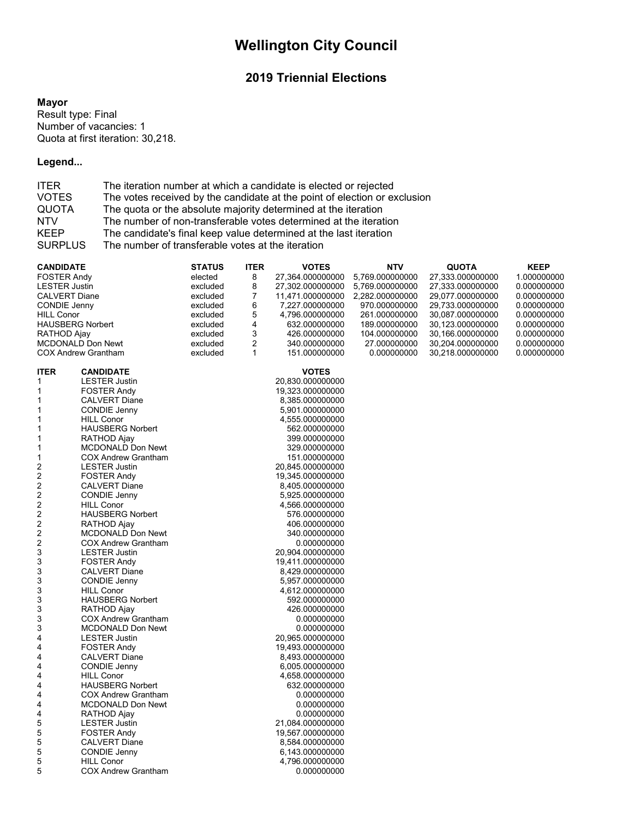# **Wellington City Council**

# **2019 Triennial Elections**

#### **Mayor**

Result type: Final Number of vacancies: 1 Quota at first iteration: 30,218.

# **Legend...**

| <b>ITER</b>    | The iteration number at which a candidate is elected or rejected          |
|----------------|---------------------------------------------------------------------------|
| <b>VOTES</b>   | The votes received by the candidate at the point of election or exclusion |
| <b>QUOTA</b>   | The quota or the absolute majority determined at the iteration            |
| <b>NTV</b>     | The number of non-transferable votes determined at the iteration          |
| <b>KEEP</b>    | The candidate's final keep value determined at the last iteration         |
| <b>SURPLUS</b> | The number of transferable votes at the iteration                         |

| CANDIDATE               |                                                        | <b>STATUS</b> | <b>ITER</b>  | <b>VOTES</b>                       | NTV             | <b>QUOTA</b>     | <b>KEEP</b> |
|-------------------------|--------------------------------------------------------|---------------|--------------|------------------------------------|-----------------|------------------|-------------|
| <b>FOSTER Andy</b>      |                                                        | elected       | 8            | 27,364.000000000                   | 5,769.000000000 | 27,333.000000000 | 1.000000000 |
| <b>LESTER Justin</b>    |                                                        | excluded      | 8            | 27,302.000000000                   | 5,769.000000000 | 27,333.000000000 | 0.000000000 |
| <b>CALVERT Diane</b>    |                                                        | excluded      | 7            | 11,471.000000000                   | 2.282.000000000 | 29.077.000000000 | 0.000000000 |
| <b>CONDIE Jenny</b>     |                                                        | excluded      | 6            | 7,227.000000000                    | 970.000000000   | 29,733.000000000 | 0.000000000 |
| <b>HILL Conor</b>       |                                                        | excluded      | 5            | 4.796.000000000                    | 261.000000000   | 30,087.000000000 | 0.000000000 |
| <b>HAUSBERG Norbert</b> |                                                        | excluded      | 4            | 632.000000000                      | 189.000000000   | 30,123.000000000 | 0.000000000 |
|                         |                                                        | excluded      | 3            | 426.000000000                      | 104.000000000   | 30,166.000000000 | 0.000000000 |
| RATHOD Ajay             |                                                        |               | 2            |                                    |                 |                  |             |
|                         | <b>MCDONALD Don Newt</b><br><b>COX Andrew Grantham</b> | excluded      | $\mathbf{1}$ | 340.000000000                      | 27.000000000    | 30,204.000000000 | 0.000000000 |
|                         |                                                        | excluded      |              | 151.000000000                      | 0.000000000     | 30,218.000000000 | 0.000000000 |
| <b>ITER</b>             | <b>CANDIDATE</b>                                       |               |              | <b>VOTES</b>                       |                 |                  |             |
| 1                       | <b>LESTER Justin</b>                                   |               |              | 20,830.000000000                   |                 |                  |             |
| 1                       |                                                        |               |              |                                    |                 |                  |             |
|                         | <b>FOSTER Andy</b>                                     |               |              | 19,323.000000000                   |                 |                  |             |
| 1                       | <b>CALVERT Diane</b>                                   |               |              | 8,385.000000000                    |                 |                  |             |
| 1                       | CONDIE Jenny                                           |               |              | 5,901.000000000                    |                 |                  |             |
| 1                       | <b>HILL Conor</b>                                      |               |              | 4,555.000000000                    |                 |                  |             |
| 1                       | <b>HAUSBERG Norbert</b>                                |               |              | 562.000000000                      |                 |                  |             |
| 1                       | RATHOD Ajay                                            |               |              | 399.000000000                      |                 |                  |             |
| 1                       | <b>MCDONALD Don Newt</b>                               |               |              | 329.000000000                      |                 |                  |             |
| 1                       | <b>COX Andrew Grantham</b>                             |               |              | 151.000000000                      |                 |                  |             |
| 2                       | <b>LESTER Justin</b>                                   |               |              | 20,845.000000000                   |                 |                  |             |
| $\overline{\mathbf{c}}$ | <b>FOSTER Andy</b>                                     |               |              | 19,345.000000000                   |                 |                  |             |
| $\overline{c}$          | <b>CALVERT Diane</b>                                   |               |              | 8,405.000000000                    |                 |                  |             |
| $\overline{\mathbf{c}}$ | <b>CONDIE Jenny</b>                                    |               |              | 5,925.000000000                    |                 |                  |             |
| $\overline{c}$          | <b>HILL Conor</b>                                      |               |              | 4,566.000000000                    |                 |                  |             |
| $\boldsymbol{2}$        | <b>HAUSBERG Norbert</b>                                |               |              | 576.000000000                      |                 |                  |             |
| 2                       | RATHOD Ajay                                            |               |              | 406.000000000                      |                 |                  |             |
| $\boldsymbol{2}$        | <b>MCDONALD Don Newt</b>                               |               |              | 340.000000000                      |                 |                  |             |
| $\boldsymbol{2}$        | <b>COX Andrew Grantham</b>                             |               |              | 0.000000000                        |                 |                  |             |
| 3                       | <b>LESTER Justin</b>                                   |               |              | 20,904.000000000                   |                 |                  |             |
| 3                       | <b>FOSTER Andy</b>                                     |               |              | 19,411.000000000                   |                 |                  |             |
| 3                       | <b>CALVERT Diane</b>                                   |               |              | 8,429.000000000                    |                 |                  |             |
| 3                       | <b>CONDIE Jenny</b>                                    |               |              |                                    |                 |                  |             |
| 3                       | <b>HILL Conor</b>                                      |               |              | 5,957.000000000<br>4,612.000000000 |                 |                  |             |
|                         |                                                        |               |              |                                    |                 |                  |             |
| 3                       | <b>HAUSBERG Norbert</b>                                |               |              | 592.000000000                      |                 |                  |             |
| 3                       | RATHOD Ajay                                            |               |              | 426.000000000                      |                 |                  |             |
| 3                       | <b>COX Andrew Grantham</b>                             |               |              | 0.000000000                        |                 |                  |             |
| 3                       | <b>MCDONALD Don Newt</b>                               |               |              | 0.000000000                        |                 |                  |             |
| 4                       | <b>LESTER Justin</b>                                   |               |              | 20,965.000000000                   |                 |                  |             |
| 4                       | <b>FOSTER Andy</b>                                     |               |              | 19,493.000000000                   |                 |                  |             |
| 4                       | <b>CALVERT Diane</b>                                   |               |              | 8,493.000000000                    |                 |                  |             |
| 4                       | <b>CONDIE Jenny</b>                                    |               |              | 6,005.000000000                    |                 |                  |             |
| 4                       | <b>HILL Conor</b>                                      |               |              | 4,658.000000000                    |                 |                  |             |
| 4                       | <b>HAUSBERG Norbert</b>                                |               |              | 632.000000000                      |                 |                  |             |
| 4                       | <b>COX Andrew Grantham</b>                             |               |              | 0.000000000                        |                 |                  |             |
| 4                       | MCDONALD Don Newt                                      |               |              | 0.000000000                        |                 |                  |             |
| 4                       | <b>RATHOD Ajay</b>                                     |               |              | 0.000000000                        |                 |                  |             |
| 5                       | <b>LESTER Justin</b>                                   |               |              | 21,084.000000000                   |                 |                  |             |
| 5                       | <b>FOSTER Andy</b>                                     |               |              | 19,567.000000000                   |                 |                  |             |
| 5                       | <b>CALVERT Diane</b>                                   |               |              | 8,584.000000000                    |                 |                  |             |
| 5                       | <b>CONDIE Jenny</b>                                    |               |              | 6,143.000000000                    |                 |                  |             |
| 5                       | <b>HILL Conor</b>                                      |               |              | 4,796.000000000                    |                 |                  |             |
| 5                       | <b>COX Andrew Grantham</b>                             |               |              | 0.000000000                        |                 |                  |             |
|                         |                                                        |               |              |                                    |                 |                  |             |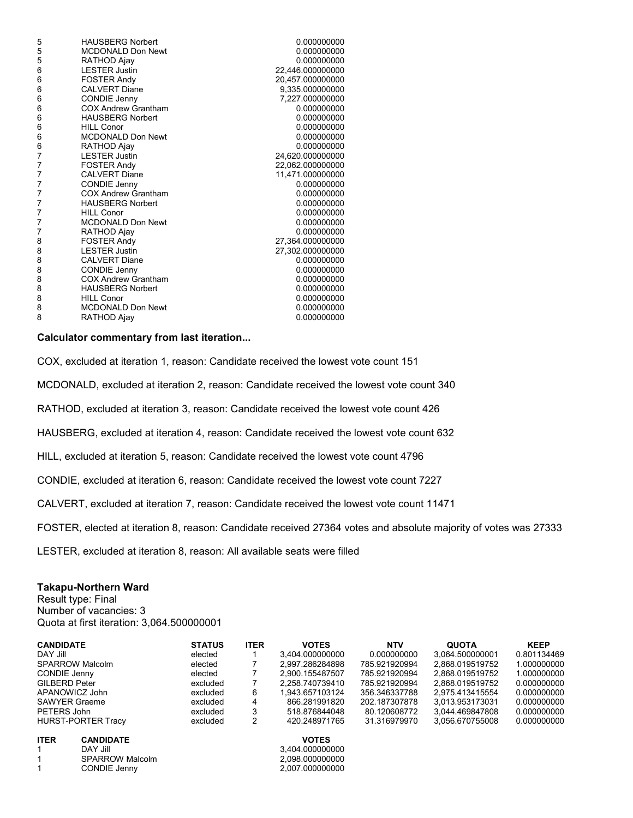| 5 | <b>HAUSBERG Norbert</b>    | 0.000000000      |
|---|----------------------------|------------------|
| 5 | <b>MCDONALD Don Newt</b>   | 0.000000000      |
| 5 | RATHOD Ajay                | 0.000000000      |
| 6 | <b>LESTER Justin</b>       | 22,446.000000000 |
| 6 | <b>FOSTER Andy</b>         | 20,457.000000000 |
| 6 | <b>CALVERT Diane</b>       | 9,335.000000000  |
| 6 | <b>CONDIE Jenny</b>        | 7,227.000000000  |
| 6 | <b>COX Andrew Grantham</b> | 0.000000000      |
| 6 | <b>HAUSBERG Norbert</b>    | 0.000000000      |
| 6 | <b>HILL Conor</b>          | 0.000000000      |
| 6 | <b>MCDONALD Don Newt</b>   | 0.000000000      |
| 6 | RATHOD Ajay                | 0.000000000      |
| 7 | <b>LESTER Justin</b>       | 24,620.000000000 |
| 7 | <b>FOSTER Andy</b>         | 22,062.000000000 |
| 7 | <b>CALVERT Diane</b>       | 11,471.000000000 |
| 7 | <b>CONDIE Jenny</b>        | 0.000000000      |
| 7 | <b>COX Andrew Grantham</b> | 0.000000000      |
| 7 | <b>HAUSBERG Norbert</b>    | 0.000000000      |
| 7 | <b>HILL Conor</b>          | 0.000000000      |
| 7 | <b>MCDONALD Don Newt</b>   | 0.000000000      |
| 7 | RATHOD Ajay                | 0.000000000      |
| 8 | <b>FOSTER Andy</b>         | 27,364.000000000 |
| 8 | <b>LESTER Justin</b>       | 27,302.000000000 |
| 8 | <b>CALVERT Diane</b>       | 0.000000000      |
| 8 | CONDIE Jenny               | 0.000000000      |
| 8 | <b>COX Andrew Grantham</b> | 0.000000000      |
| 8 | <b>HAUSBERG Norbert</b>    | 0.000000000      |
| 8 | <b>HILL Conor</b>          | 0.000000000      |
| 8 | <b>MCDONALD Don Newt</b>   | 0.000000000      |
| 8 | RATHOD Ajay                | 0.000000000      |
|   |                            |                  |

COX, excluded at iteration 1, reason: Candidate received the lowest vote count 151

MCDONALD, excluded at iteration 2, reason: Candidate received the lowest vote count 340

RATHOD, excluded at iteration 3, reason: Candidate received the lowest vote count 426

HAUSBERG, excluded at iteration 4, reason: Candidate received the lowest vote count 632

HILL, excluded at iteration 5, reason: Candidate received the lowest vote count 4796

CONDIE, excluded at iteration 6, reason: Candidate received the lowest vote count 7227

CALVERT, excluded at iteration 7, reason: Candidate received the lowest vote count 11471

FOSTER, elected at iteration 8, reason: Candidate received 27364 votes and absolute majority of votes was 27333

LESTER, excluded at iteration 8, reason: All available seats were filled

#### **Takapu-Northern Ward**

Result type: Final Number of vacancies: 3 Quota at first iteration: 3,064.500000001

| <b>CANDIDATE</b>                | <b>STATUS</b> | <b>ITER</b> | <b>VOTES</b>    | <b>NTV</b>    | <b>QUOTA</b>    | <b>KEEP</b> |
|---------------------------------|---------------|-------------|-----------------|---------------|-----------------|-------------|
| DAY Jill                        | elected       |             | 3.404.000000000 | 0.000000000   | 3.064.500000001 | 0.801134469 |
| <b>SPARROW Malcolm</b>          | elected       |             | 2.997.286284898 | 785.921920994 | 2.868.019519752 | 1.000000000 |
| <b>CONDIE Jenny</b>             | elected       |             | 2.900.155487507 | 785.921920994 | 2.868.019519752 | 1.000000000 |
| <b>GILBERD Peter</b>            | excluded      |             | 2.258.740739410 | 785.921920994 | 2.868.019519752 | 0.000000000 |
| APANOWICZ John                  | excluded      | 6           | 1.943.657103124 | 356.346337788 | 2.975.413415554 | 0.000000000 |
| <b>SAWYER Graeme</b>            | excluded      | 4           | 866.281991820   | 202.187307878 | 3.013.953173031 | 0.000000000 |
| PETERS John                     | excluded      | 3           | 518.876844048   | 80.120608772  | 3.044.469847808 | 0.000000000 |
| <b>HURST-PORTER Tracy</b>       | excluded      | 2           | 420.248971765   | 31.316979970  | 3.056.670755008 | 0.000000000 |
| <b>ITER</b><br><b>CANDIDATE</b> |               |             | <b>VOTES</b>    |               |                 |             |

| <b>ITER</b> | <b>CANDIDATE</b>       | <b>VOTES</b>    |
|-------------|------------------------|-----------------|
|             | <b>DAY Jill</b>        | 3.404.000000000 |
|             | <b>SPARROW Malcolm</b> | 2.098.000000000 |
|             | CONDIE Jenny           | 2.007.000000000 |

| <b>VOTES</b>    |
|-----------------|
| 3,404.000000000 |
| 2.098.000000000 |
| 2,007.000000000 |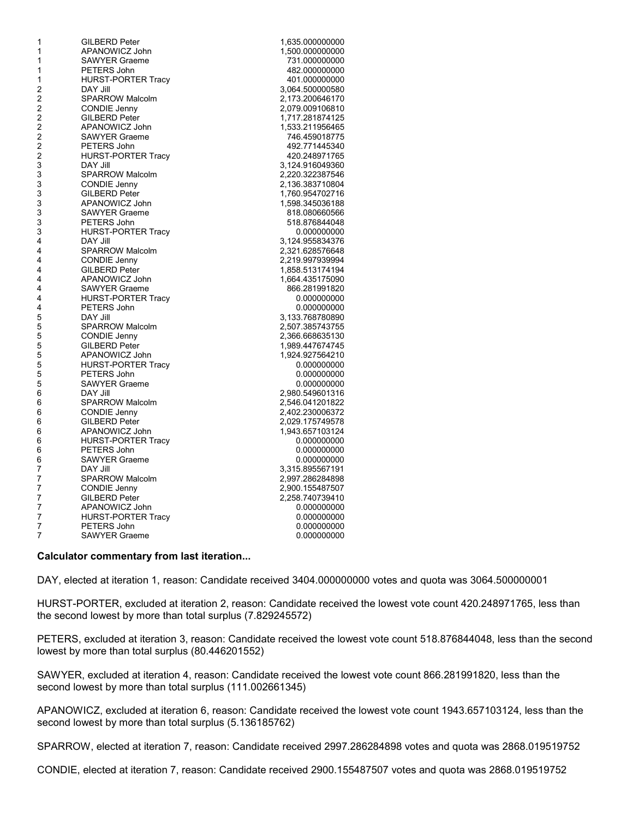| 1              | <b>GILBERD Peter</b>      | 1,635.000000000 |
|----------------|---------------------------|-----------------|
| 1              | APANOWICZ John            | 1,500.000000000 |
| 1              | <b>SAWYER Graeme</b>      | 731.000000000   |
| 1              | PETERS John               | 482.000000000   |
| 1              | <b>HURST-PORTER Tracy</b> | 401.000000000   |
| 2              | DAY Jill                  | 3,064.500000580 |
| $\overline{c}$ | <b>SPARROW Malcolm</b>    | 2,173.200646170 |
| 2              | CONDIE Jenny              | 2,079.009106810 |
| $\overline{c}$ | <b>GILBERD Peter</b>      | 1,717.281874125 |
| $\overline{c}$ | APANOWICZ John            | 1,533.211956465 |
| $\overline{c}$ | <b>SAWYER Graeme</b>      | 746.459018775   |
| $\overline{c}$ | PETERS John               | 492.771445340   |
| $\overline{c}$ | <b>HURST-PORTER Tracy</b> | 420.248971765   |
| 3              | <b>DAY Jill</b>           | 3,124.916049360 |
| 3              |                           |                 |
| 3              | <b>SPARROW Malcolm</b>    | 2,220.322387546 |
|                | <b>CONDIE Jenny</b>       | 2,136.383710804 |
| 3              | <b>GILBERD Peter</b>      | 1,760.954702716 |
| 3              | APANOWICZ John            | 1,598.345036188 |
| 3              | <b>SAWYER Graeme</b>      | 818.080660566   |
| 3              | PETERS John               | 518.876844048   |
| 3              | <b>HURST-PORTER Tracy</b> | 0.000000000     |
| 4              | DAY Jill                  | 3,124.955834376 |
| 4              | <b>SPARROW Malcolm</b>    | 2,321.628576648 |
| 4              | <b>CONDIE Jenny</b>       | 2,219.997939994 |
| 4              | <b>GILBERD Peter</b>      | 1,858.513174194 |
| 4              | APANOWICZ John            | 1,664.435175090 |
| 4              | <b>SAWYER Graeme</b>      | 866.281991820   |
| 4              | <b>HURST-PORTER Tracy</b> | 0.000000000     |
| 4              | PETERS John               | 0.000000000     |
| 5              | DAY Jill                  | 3,133.768780890 |
| 5              | <b>SPARROW Malcolm</b>    | 2,507.385743755 |
| 5              | <b>CONDIE Jenny</b>       | 2,366.668635130 |
| 5              | <b>GILBERD Peter</b>      | 1,989.447674745 |
| 5              | APANOWICZ John            | 1,924.927564210 |
| 5              | <b>HURST-PORTER Tracy</b> | 0.000000000     |
| 5              | PETERS John               | 0.000000000     |
| 5              | <b>SAWYER Graeme</b>      | 0.000000000     |
| 6              | DAY Jill                  | 2,980.549601316 |
| 6              | <b>SPARROW Malcolm</b>    | 2,546.041201822 |
| 6              | <b>CONDIE Jenny</b>       |                 |
|                |                           | 2,402.230006372 |
| 6              | <b>GILBERD Peter</b>      | 2,029.175749578 |
| 6              | APANOWICZ John            | 1,943.657103124 |
| 6              | <b>HURST-PORTER Tracy</b> | 0.000000000     |
| 6              | PETERS John               | 0.000000000     |
| 6              | <b>SAWYER Graeme</b>      | 0.000000000     |
| 7              | <b>DAY Jill</b>           | 3,315.895567191 |
| 7              | <b>SPARROW Malcolm</b>    | 2,997.286284898 |
| 7              | CONDIE Jenny              | 2,900.155487507 |
| 7              | <b>GILBERD Peter</b>      | 2.258.740739410 |
| 7              | APANOWICZ John            | 0.000000000     |
| 7              | <b>HURST-PORTER Tracy</b> | 0.000000000     |
| 7              | PETERS John               | 0.000000000     |
| 7              | <b>SAWYER Graeme</b>      | 0.000000000     |
|                |                           |                 |

DAY, elected at iteration 1, reason: Candidate received 3404.000000000 votes and quota was 3064.500000001

HURST-PORTER, excluded at iteration 2, reason: Candidate received the lowest vote count 420.248971765, less than the second lowest by more than total surplus (7.829245572)

PETERS, excluded at iteration 3, reason: Candidate received the lowest vote count 518.876844048, less than the second lowest by more than total surplus (80.446201552)

SAWYER, excluded at iteration 4, reason: Candidate received the lowest vote count 866.281991820, less than the second lowest by more than total surplus (111.002661345)

APANOWICZ, excluded at iteration 6, reason: Candidate received the lowest vote count 1943.657103124, less than the second lowest by more than total surplus (5.136185762)

SPARROW, elected at iteration 7, reason: Candidate received 2997.286284898 votes and quota was 2868.019519752

CONDIE, elected at iteration 7, reason: Candidate received 2900.155487507 votes and quota was 2868.019519752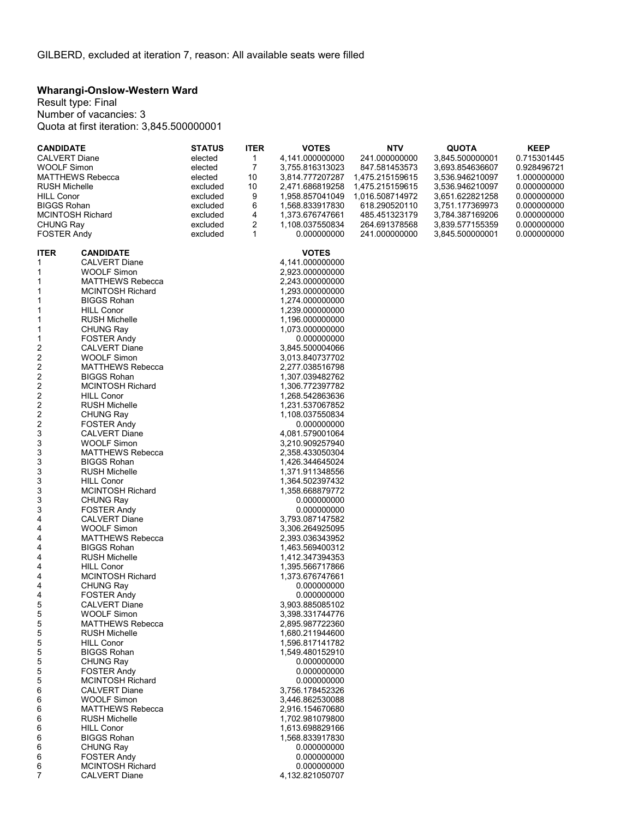# **Wharangi-Onslow-Western Ward**

Result type: Final Number of vacancies: 3 Quota at first iteration: 3,845.500000001

| <b>CANDIDATE</b>        |                                               | <b>STATUS</b> | <b>ITER</b> | <b>VOTES</b>                   | <b>NTV</b>      | <b>QUOTA</b>    | <b>KEEP</b> |
|-------------------------|-----------------------------------------------|---------------|-------------|--------------------------------|-----------------|-----------------|-------------|
| <b>CALVERT Diane</b>    |                                               | elected       | 1           | 4,141.000000000                | 241.000000000   | 3,845.500000001 | 0.715301445 |
| <b>WOOLF Simon</b>      |                                               | elected       | 7           | 3,755.816313023                | 847.581453573   | 3,693.854636607 | 0.928496721 |
|                         | <b>MATTHEWS Rebecca</b>                       | elected       | 10          | 3,814.777207287                | 1,475.215159615 | 3,536.946210097 | 1.000000000 |
| <b>RUSH Michelle</b>    |                                               | excluded      | 10          | 2,471.686819258                | 1,475.215159615 | 3,536.946210097 | 0.000000000 |
| <b>HILL Conor</b>       |                                               | excluded      | 9           | 1,958.857041049                | 1,016.508714972 | 3,651.622821258 | 0.000000000 |
| <b>BIGGS Rohan</b>      |                                               | excluded      | 6           | 1,568.833917830                | 618.290520110   | 3,751.177369973 | 0.000000000 |
| <b>MCINTOSH Richard</b> |                                               | excluded      | 4           | 1,373.676747661                | 485.451323179   | 3,784.387169206 | 0.000000000 |
| <b>CHUNG Ray</b>        |                                               | excluded      | 2           | 1,108.037550834                | 264.691378568   | 3,839.577155359 | 0.000000000 |
| <b>FOSTER Andy</b>      |                                               | excluded      | 1           | 0.000000000                    | 241.000000000   | 3,845.500000001 | 0.000000000 |
| <b>ITER</b>             | <b>CANDIDATE</b>                              |               |             | <b>VOTES</b>                   |                 |                 |             |
| 1                       | <b>CALVERT Diane</b>                          |               |             | 4,141.000000000                |                 |                 |             |
| 1                       | <b>WOOLF Simon</b>                            |               |             | 2,923.000000000                |                 |                 |             |
| 1                       | <b>MATTHEWS Rebecca</b>                       |               |             | 2,243.000000000                |                 |                 |             |
| 1                       | <b>MCINTOSH Richard</b>                       |               |             | 1,293.000000000                |                 |                 |             |
| 1                       | <b>BIGGS Rohan</b>                            |               |             | 1,274.000000000                |                 |                 |             |
| 1                       | <b>HILL Conor</b>                             |               |             | 1,239.000000000                |                 |                 |             |
| 1                       | <b>RUSH Michelle</b>                          |               |             | 1,196.000000000                |                 |                 |             |
| 1                       | <b>CHUNG Ray</b>                              |               |             | 1,073.000000000                |                 |                 |             |
| 1                       | <b>FOSTER Andy</b>                            |               |             | 0.000000000                    |                 |                 |             |
| 2                       | <b>CALVERT Diane</b>                          |               |             | 3,845.500004066                |                 |                 |             |
| 2                       | <b>WOOLF Simon</b>                            |               |             | 3,013.840737702                |                 |                 |             |
| $\overline{\mathbf{c}}$ | <b>MATTHEWS Rebecca</b>                       |               |             | 2,277.038516798                |                 |                 |             |
| 2                       | <b>BIGGS Rohan</b>                            |               |             | 1,307.039482762                |                 |                 |             |
| $\overline{\mathbf{c}}$ | <b>MCINTOSH Richard</b>                       |               |             | 1,306.772397782                |                 |                 |             |
| $\overline{\mathbf{c}}$ | <b>HILL Conor</b>                             |               |             | 1,268.542863636                |                 |                 |             |
| $\overline{\mathbf{c}}$ | <b>RUSH Michelle</b>                          |               |             | 1,231.537067852                |                 |                 |             |
| $\overline{\mathbf{c}}$ | <b>CHUNG Ray</b>                              |               |             | 1,108.037550834<br>0.000000000 |                 |                 |             |
| 2<br>3                  | <b>FOSTER Andy</b><br><b>CALVERT Diane</b>    |               |             | 4,081.579001064                |                 |                 |             |
| 3                       | <b>WOOLF Simon</b>                            |               |             | 3,210.909257940                |                 |                 |             |
| 3                       | <b>MATTHEWS Rebecca</b>                       |               |             | 2,358.433050304                |                 |                 |             |
| 3                       | <b>BIGGS Rohan</b>                            |               |             | 1,426.344645024                |                 |                 |             |
| 3                       | <b>RUSH Michelle</b>                          |               |             | 1,371.911348556                |                 |                 |             |
| 3                       | <b>HILL Conor</b>                             |               |             | 1,364.502397432                |                 |                 |             |
| 3                       | <b>MCINTOSH Richard</b>                       |               |             | 1,358.668879772                |                 |                 |             |
| 3                       | <b>CHUNG Ray</b>                              |               |             | 0.000000000                    |                 |                 |             |
| 3                       | <b>FOSTER Andy</b>                            |               |             | 0.000000000                    |                 |                 |             |
| 4                       | <b>CALVERT Diane</b>                          |               |             | 3,793.087147582                |                 |                 |             |
| 4                       | <b>WOOLF Simon</b>                            |               |             | 3,306.264925095                |                 |                 |             |
| 4                       | <b>MATTHEWS Rebecca</b>                       |               |             | 2,393.036343952                |                 |                 |             |
| 4                       | <b>BIGGS Rohan</b>                            |               |             | 1,463.569400312                |                 |                 |             |
| 4                       | <b>RUSH Michelle</b>                          |               |             | 1,412.347394353                |                 |                 |             |
| 4                       | <b>HILL Conor</b>                             |               |             | 1,395.566717866                |                 |                 |             |
| 4<br>4                  | <b>MCINTOSH Richard</b><br><b>CHUNG Ray</b>   |               |             | 1,373.676747661<br>0.000000000 |                 |                 |             |
| 4                       | <b>FOSTER Andy</b>                            |               |             | 0.000000000                    |                 |                 |             |
| 5                       | <b>CALVERT Diane</b>                          |               |             | 3,903.885085102                |                 |                 |             |
| 5                       | <b>WOOLF Simon</b>                            |               |             | 3,398.331744776                |                 |                 |             |
| 5                       | <b>MATTHEWS Rebecca</b>                       |               |             | 2,895.987722360                |                 |                 |             |
| 5                       | <b>RUSH Michelle</b>                          |               |             | 1,680.211944600                |                 |                 |             |
| 5                       | <b>HILL Conor</b>                             |               |             | 1,596.817141782                |                 |                 |             |
| 5                       | <b>BIGGS Rohan</b>                            |               |             | 1,549.480152910                |                 |                 |             |
| 5                       | CHUNG Ray                                     |               |             | 0.000000000                    |                 |                 |             |
| 5                       | <b>FOSTER Andy</b>                            |               |             | 0.000000000                    |                 |                 |             |
| 5                       | <b>MCINTOSH Richard</b>                       |               |             | 0.000000000                    |                 |                 |             |
| 6                       | <b>CALVERT Diane</b>                          |               |             | 3.756.178452326                |                 |                 |             |
| 6                       | <b>WOOLF Simon</b>                            |               |             | 3,446.862530088                |                 |                 |             |
| 6                       | <b>MATTHEWS Rebecca</b>                       |               |             | 2,916.154670680                |                 |                 |             |
| 6                       | <b>RUSH Michelle</b>                          |               |             | 1,702.981079800                |                 |                 |             |
| 6                       | <b>HILL Conor</b>                             |               |             | 1,613.698829166                |                 |                 |             |
| 6                       | <b>BIGGS Rohan</b>                            |               |             | 1,568.833917830                |                 |                 |             |
| 6                       | <b>CHUNG Ray</b>                              |               |             | 0.000000000                    |                 |                 |             |
| 6<br>6                  | <b>FOSTER Andy</b><br><b>MCINTOSH Richard</b> |               |             | 0.000000000<br>0.000000000     |                 |                 |             |
| 7                       | <b>CALVERT Diane</b>                          |               |             | 4,132.821050707                |                 |                 |             |
|                         |                                               |               |             |                                |                 |                 |             |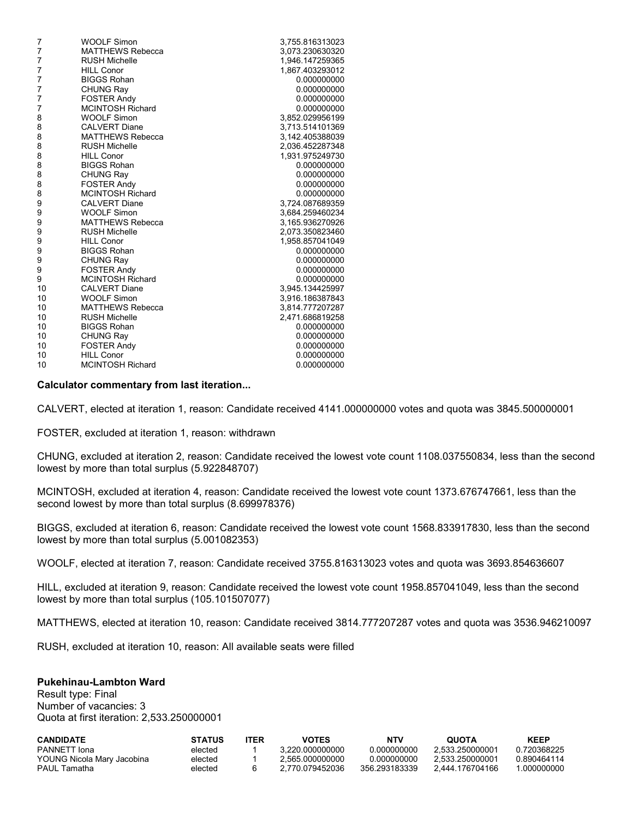| <b>WOOLF Simon</b>      | 3,755.816313023 |
|-------------------------|-----------------|
| <b>MATTHEWS Rebecca</b> | 3,073.230630320 |
| <b>RUSH Michelle</b>    | 1,946.147259365 |
| <b>HILL Conor</b>       | 1,867.403293012 |
| <b>BIGGS Rohan</b>      | 0.000000000     |
| <b>CHUNG Ray</b>        | 0.000000000     |
| <b>FOSTER Andy</b>      | 0.000000000     |
| <b>MCINTOSH Richard</b> | 0.000000000     |
| <b>WOOLF Simon</b>      | 3,852.029956199 |
| <b>CALVERT Diane</b>    | 3,713.514101369 |
| <b>MATTHEWS Rebecca</b> | 3,142.405388039 |
| <b>RUSH Michelle</b>    | 2,036.452287348 |
| <b>HILL Conor</b>       | 1,931.975249730 |
| <b>BIGGS Rohan</b>      | 0.000000000     |
| <b>CHUNG Ray</b>        | 0.000000000     |
| <b>FOSTER Andy</b>      | 0.000000000     |
| <b>MCINTOSH Richard</b> | 0.000000000     |
| <b>CALVERT Diane</b>    | 3,724.087689359 |
| <b>WOOLF Simon</b>      | 3.684.259460234 |
| <b>MATTHEWS Rebecca</b> | 3,165.936270926 |
| <b>RUSH Michelle</b>    | 2,073.350823460 |
| <b>HILL Conor</b>       | 1,958.857041049 |
| <b>BIGGS Rohan</b>      | 0.000000000     |
| <b>CHUNG Ray</b>        | 0.000000000     |
| <b>FOSTER Andy</b>      | 0.000000000     |
| <b>MCINTOSH Richard</b> | 0.000000000     |
| <b>CALVERT Diane</b>    | 3,945.134425997 |
| <b>WOOLF Simon</b>      | 3,916.186387843 |
| <b>MATTHEWS Rebecca</b> | 3,814.777207287 |
| <b>RUSH Michelle</b>    | 2,471.686819258 |
| <b>BIGGS Rohan</b>      | 0.000000000     |
| <b>CHUNG Ray</b>        | 0.000000000     |
| <b>FOSTER Andy</b>      | 0.000000000     |
| <b>HILL Conor</b>       | 0.000000000     |
| <b>MCINTOSH Richard</b> | 0.000000000     |
|                         |                 |

CALVERT, elected at iteration 1, reason: Candidate received 4141.000000000 votes and quota was 3845.500000001

FOSTER, excluded at iteration 1, reason: withdrawn

CHUNG, excluded at iteration 2, reason: Candidate received the lowest vote count 1108.037550834, less than the second lowest by more than total surplus (5.922848707)

MCINTOSH, excluded at iteration 4, reason: Candidate received the lowest vote count 1373.676747661, less than the second lowest by more than total surplus (8.699978376)

BIGGS, excluded at iteration 6, reason: Candidate received the lowest vote count 1568.833917830, less than the second lowest by more than total surplus (5.001082353)

WOOLF, elected at iteration 7, reason: Candidate received 3755.816313023 votes and quota was 3693.854636607

HILL, excluded at iteration 9, reason: Candidate received the lowest vote count 1958.857041049, less than the second lowest by more than total surplus (105.101507077)

MATTHEWS, elected at iteration 10, reason: Candidate received 3814.777207287 votes and quota was 3536.946210097

RUSH, excluded at iteration 10, reason: All available seats were filled

#### **Pukehinau-Lambton Ward**

Result type: Final Number of vacancies: 3 Quota at first iteration: 2,533.250000001

| <b>CANDIDATE</b>           | <b>STATUS</b> | <b>TER</b> | <b>VOTES</b>    | NTV           | <b>QUOTA</b>    | <b>KEEP</b> |
|----------------------------|---------------|------------|-----------------|---------------|-----------------|-------------|
| PANNETT Iona               | elected       |            | 3.220.000000000 | 0.000000000   | 2.533.250000001 | 0.720368225 |
| YOUNG Nicola Mary Jacobina | elected       |            | 2.565.000000000 | 0.000000000   | 2.533.250000001 | 0.890464114 |
| PAUL Tamatha               | elected       |            | 2.770.079452036 | 356.293183339 | 2.444.176704166 | .000000000  |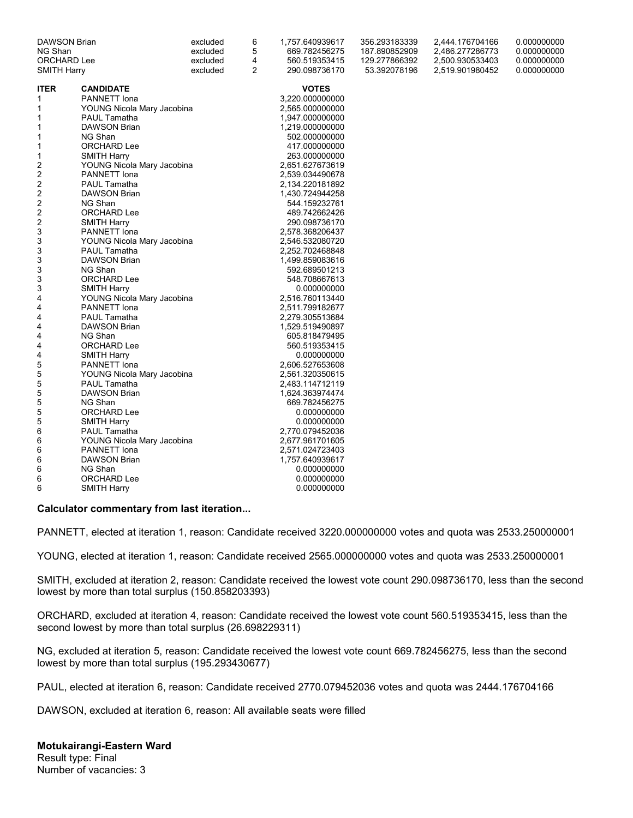| <b>DAWSON Brian</b>            |                            | excluded       | 6             | 1,757.640939617 | 356.293183339   | 2,444.176704166 | 0.000000000 |
|--------------------------------|----------------------------|----------------|---------------|-----------------|-----------------|-----------------|-------------|
| NG Shan                        |                            | excluded       | 5             | 669.782456275   | 187.890852909   | 2,486.277286773 | 0.000000000 |
| <b>ORCHARD Lee</b><br>excluded |                            | 4              | 560.519353415 | 129.277866392   | 2,500.930533403 | 0.000000000     |             |
| <b>SMITH Harry</b><br>excluded |                            | $\overline{2}$ | 290.098736170 | 53.392078196    | 2,519.901980452 | 0.000000000     |             |
| <b>ITER</b>                    | <b>CANDIDATE</b>           |                |               | <b>VOTES</b>    |                 |                 |             |
| 1                              | PANNETT Iona               |                |               | 3,220.000000000 |                 |                 |             |
| 1                              | YOUNG Nicola Mary Jacobina |                |               | 2,565.000000000 |                 |                 |             |
| 1                              | <b>PAUL Tamatha</b>        |                |               | 1,947.000000000 |                 |                 |             |
| 1                              | <b>DAWSON Brian</b>        |                |               | 1,219.000000000 |                 |                 |             |
| 1                              | NG Shan                    |                |               | 502.000000000   |                 |                 |             |
| 1                              | ORCHARD Lee                |                |               | 417.000000000   |                 |                 |             |
| 1                              | <b>SMITH Harry</b>         |                |               | 263.000000000   |                 |                 |             |
| 2                              | YOUNG Nicola Mary Jacobina |                |               | 2,651.627673619 |                 |                 |             |
| 2                              | <b>PANNETT</b> Iona        |                |               | 2,539.034490678 |                 |                 |             |
| 2                              | PAUL Tamatha               |                |               | 2,134.220181892 |                 |                 |             |
| 2                              | DAWSON Brian               |                |               | 1,430.724944258 |                 |                 |             |
| 2                              | NG Shan                    |                |               | 544.159232761   |                 |                 |             |
| 2                              | ORCHARD Lee                |                |               | 489.742662426   |                 |                 |             |
| 2                              | <b>SMITH Harry</b>         |                |               | 290.098736170   |                 |                 |             |
| 3                              | <b>PANNETT</b> Iona        |                |               | 2,578.368206437 |                 |                 |             |
| 3                              | YOUNG Nicola Mary Jacobina |                |               | 2,546.532080720 |                 |                 |             |
| 3                              | <b>PAUL Tamatha</b>        |                |               | 2,252.702468848 |                 |                 |             |
| 3                              | <b>DAWSON Brian</b>        |                |               | 1,499.859083616 |                 |                 |             |
| 3                              | NG Shan                    |                |               | 592.689501213   |                 |                 |             |
| 3                              | ORCHARD Lee                |                |               | 548.708667613   |                 |                 |             |
| 3                              | <b>SMITH Harry</b>         |                |               | 0.000000000     |                 |                 |             |
| 4                              | YOUNG Nicola Mary Jacobina |                |               | 2,516.760113440 |                 |                 |             |
| 4                              | <b>PANNETT</b> Iona        |                |               | 2,511.799182677 |                 |                 |             |
| 4                              | <b>PAUL Tamatha</b>        |                |               | 2,279.305513684 |                 |                 |             |
| 4                              | <b>DAWSON Brian</b>        |                |               | 1,529.519490897 |                 |                 |             |
| 4                              | NG Shan                    |                |               | 605.818479495   |                 |                 |             |
| 4                              | ORCHARD Lee                |                |               | 560.519353415   |                 |                 |             |
| 4                              | <b>SMITH Harry</b>         |                |               | 0.000000000     |                 |                 |             |
| 5                              | <b>PANNETT</b> Iona        |                |               | 2,606.527653608 |                 |                 |             |
| 5                              | YOUNG Nicola Mary Jacobina |                |               | 2,561.320350615 |                 |                 |             |
| 5                              | <b>PAUL Tamatha</b>        |                |               | 2,483.114712119 |                 |                 |             |
| 5                              | <b>DAWSON Brian</b>        |                |               | 1,624.363974474 |                 |                 |             |
| 5                              | NG Shan                    |                |               | 669.782456275   |                 |                 |             |
| 5                              | ORCHARD Lee                |                |               | 0.000000000     |                 |                 |             |
| 5                              | <b>SMITH Harry</b>         |                |               | 0.000000000     |                 |                 |             |
| 6                              | <b>PAUL Tamatha</b>        |                |               | 2,770.079452036 |                 |                 |             |
| 6                              | YOUNG Nicola Mary Jacobina |                |               | 2,677.961701605 |                 |                 |             |
| 6                              | <b>PANNETT</b> Iona        |                |               | 2,571.024723403 |                 |                 |             |
| 6                              | <b>DAWSON Brian</b>        |                |               | 1,757.640939617 |                 |                 |             |
| 6                              | NG Shan                    |                |               | 0.000000000     |                 |                 |             |
| 6                              | ORCHARD Lee                |                |               | 0.000000000     |                 |                 |             |
| 6                              | <b>SMITH Harry</b>         |                |               | 0.000000000     |                 |                 |             |

PANNETT, elected at iteration 1, reason: Candidate received 3220.000000000 votes and quota was 2533.250000001

YOUNG, elected at iteration 1, reason: Candidate received 2565.000000000 votes and quota was 2533.250000001

SMITH, excluded at iteration 2, reason: Candidate received the lowest vote count 290.098736170, less than the second lowest by more than total surplus (150.858203393)

ORCHARD, excluded at iteration 4, reason: Candidate received the lowest vote count 560.519353415, less than the second lowest by more than total surplus (26.698229311)

NG, excluded at iteration 5, reason: Candidate received the lowest vote count 669.782456275, less than the second lowest by more than total surplus (195.293430677)

PAUL, elected at iteration 6, reason: Candidate received 2770.079452036 votes and quota was 2444.176704166

DAWSON, excluded at iteration 6, reason: All available seats were filled

**Motukairangi-Eastern Ward** Result type: Final Number of vacancies: 3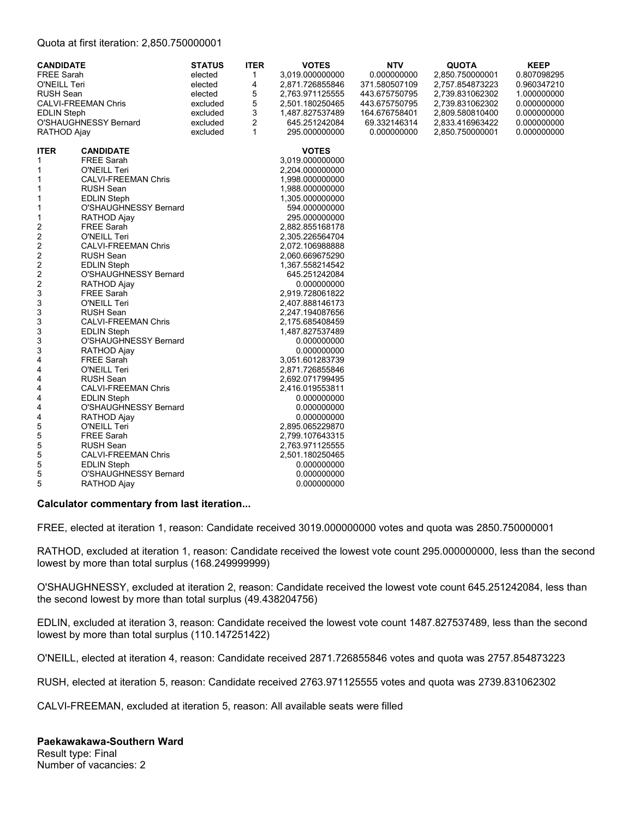#### Quota at first iteration: 2,850.750000001

| <b>CANDIDATE</b><br><b>FREE Sarah</b><br>O'NEILL Teri<br><b>RUSH Sean</b><br><b>EDLIN Steph</b><br>RATHOD Ajay                                                                                                                                                                                                                           | <b>CALVI-FREEMAN Chris</b><br>O'SHAUGHNESSY Bernard                                                                                                                                                                                                                                                                                                                                                                                                                                                                                                                                                                                                                                                                                                                 | <b>STATUS</b><br>elected<br>elected<br>elected<br>excluded<br>excluded<br>excluded<br>excluded | <b>ITER</b><br>1<br>4<br>5<br>5<br>3<br>$\overline{2}$<br>$\mathbf{1}$ | <b>VOTES</b><br>3,019.000000000<br>2,871.726855846<br>2.763.971125555<br>2,501.180250465<br>1,487.827537489<br>645.251242084<br>295.000000000                                                                                                                                                                                                                                                                                                                                                                                                                                                                                                | <b>NTV</b><br>0.000000000<br>371.580507109<br>443.675750795<br>443.675750795<br>164.676758401<br>69.332146314<br>0.000000000 | <b>QUOTA</b><br>2,850.750000001<br>2,757.854873223<br>2,739.831062302<br>2,739.831062302<br>2,809.580810400<br>2,833.416963422<br>2,850.750000001 | <b>KEEP</b><br>0.807098295<br>0.960347210<br>1.000000000<br>0.000000000<br>0.000000000<br>0.000000000<br>0.000000000 |
|------------------------------------------------------------------------------------------------------------------------------------------------------------------------------------------------------------------------------------------------------------------------------------------------------------------------------------------|---------------------------------------------------------------------------------------------------------------------------------------------------------------------------------------------------------------------------------------------------------------------------------------------------------------------------------------------------------------------------------------------------------------------------------------------------------------------------------------------------------------------------------------------------------------------------------------------------------------------------------------------------------------------------------------------------------------------------------------------------------------------|------------------------------------------------------------------------------------------------|------------------------------------------------------------------------|----------------------------------------------------------------------------------------------------------------------------------------------------------------------------------------------------------------------------------------------------------------------------------------------------------------------------------------------------------------------------------------------------------------------------------------------------------------------------------------------------------------------------------------------------------------------------------------------------------------------------------------------|------------------------------------------------------------------------------------------------------------------------------|---------------------------------------------------------------------------------------------------------------------------------------------------|----------------------------------------------------------------------------------------------------------------------|
| <b>ITER</b><br>1<br>1<br>$\mathbf{1}$<br>1<br>1<br>1<br>$\mathbf{1}$<br>2<br>$\overline{\mathbf{c}}$<br>$\overline{\mathbf{c}}$<br>$\overline{\mathbf{c}}$<br>$\overline{\mathbf{c}}$<br>$\boldsymbol{2}$<br>$\overline{\mathbf{c}}$<br>3<br>3<br>3<br>3<br>3<br>3<br>3<br>4<br>4<br>4<br>4<br>4<br>4<br>4<br>5<br>5<br>5<br>5<br>5<br>5 | <b>CANDIDATE</b><br><b>FREE Sarah</b><br>O'NEILL Teri<br><b>CALVI-FREEMAN Chris</b><br><b>RUSH Sean</b><br><b>EDLIN Steph</b><br>O'SHAUGHNESSY Bernard<br>RATHOD Ajay<br><b>FREE Sarah</b><br>O'NEILL Teri<br><b>CALVI-FREEMAN Chris</b><br><b>RUSH Sean</b><br><b>EDLIN Steph</b><br>O'SHAUGHNESSY Bernard<br>RATHOD Ajay<br><b>FREE Sarah</b><br>O'NEILL Teri<br><b>RUSH Sean</b><br><b>CALVI-FREEMAN Chris</b><br><b>EDLIN Steph</b><br>O'SHAUGHNESSY Bernard<br>RATHOD Ajay<br>FREE Sarah<br>O'NEILL Teri<br><b>RUSH Sean</b><br><b>CALVI-FREEMAN Chris</b><br><b>EDLIN Steph</b><br>O'SHAUGHNESSY Bernard<br>RATHOD Ajay<br>O'NEILL Teri<br><b>FREE Sarah</b><br><b>RUSH Sean</b><br><b>CALVI-FREEMAN Chris</b><br><b>EDLIN Steph</b><br>O'SHAUGHNESSY Bernard |                                                                                                |                                                                        | <b>VOTES</b><br>3,019.000000000<br>2,204.000000000<br>1,998.000000000<br>1,988.000000000<br>1,305.000000000<br>594.000000000<br>295.000000000<br>2,882.855168178<br>2,305.226564704<br>2,072.106988888<br>2,060.669675290<br>1,367.558214542<br>645.251242084<br>0.000000000<br>2,919.728061822<br>2,407.888146173<br>2,247.194087656<br>2,175.685408459<br>1,487.827537489<br>0.000000000<br>0.000000000<br>3,051.601283739<br>2,871.726855846<br>2,692.071799495<br>2,416.019553811<br>0.000000000<br>0.000000000<br>0.000000000<br>2,895.065229870<br>2,799.107643315<br>2,763.971125555<br>2,501.180250465<br>0.000000000<br>0.000000000 |                                                                                                                              |                                                                                                                                                   |                                                                                                                      |
| 5                                                                                                                                                                                                                                                                                                                                        | RATHOD Ajay                                                                                                                                                                                                                                                                                                                                                                                                                                                                                                                                                                                                                                                                                                                                                         |                                                                                                |                                                                        | 0.000000000                                                                                                                                                                                                                                                                                                                                                                                                                                                                                                                                                                                                                                  |                                                                                                                              |                                                                                                                                                   |                                                                                                                      |

#### **Calculator commentary from last iteration...**

FREE, elected at iteration 1, reason: Candidate received 3019.000000000 votes and quota was 2850.750000001

RATHOD, excluded at iteration 1, reason: Candidate received the lowest vote count 295.000000000, less than the second lowest by more than total surplus (168.249999999)

O'SHAUGHNESSY, excluded at iteration 2, reason: Candidate received the lowest vote count 645.251242084, less than the second lowest by more than total surplus (49.438204756)

EDLIN, excluded at iteration 3, reason: Candidate received the lowest vote count 1487.827537489, less than the second lowest by more than total surplus (110.147251422)

O'NEILL, elected at iteration 4, reason: Candidate received 2871.726855846 votes and quota was 2757.854873223

RUSH, elected at iteration 5, reason: Candidate received 2763.971125555 votes and quota was 2739.831062302

CALVI-FREEMAN, excluded at iteration 5, reason: All available seats were filled

### **Paekawakawa-Southern Ward**

Result type: Final Number of vacancies: 2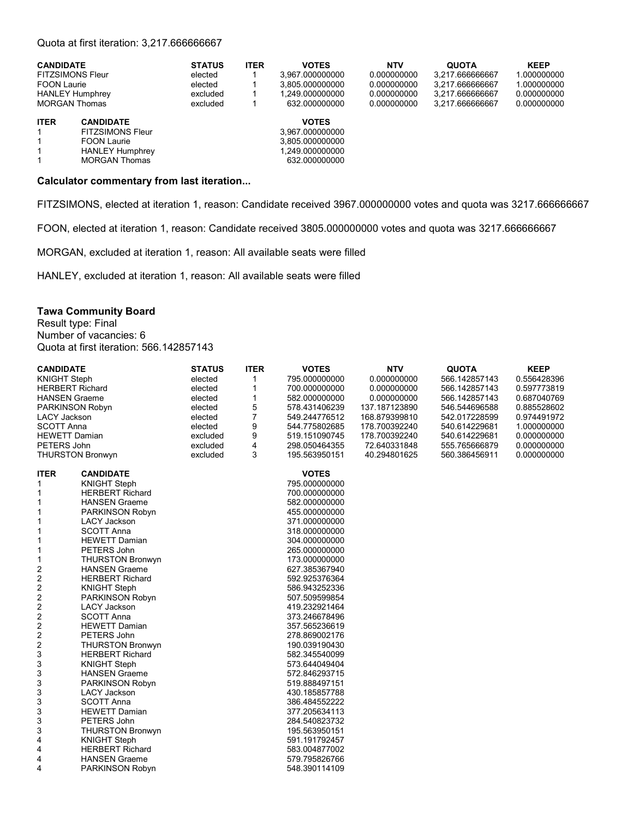#### Quota at first iteration: 3,217.666666667

| <b>CANDIDATE</b>                                                 |                                                                                                                     | <b>STATUS</b> | <b>ITER</b> | <b>VOTES</b>                                                                           | <b>NTV</b>  | <b>QUOTA</b>    | <b>KEEP</b> |
|------------------------------------------------------------------|---------------------------------------------------------------------------------------------------------------------|---------------|-------------|----------------------------------------------------------------------------------------|-------------|-----------------|-------------|
| <b>FITZSIMONS Fleur</b>                                          |                                                                                                                     | elected       |             | 3.967.000000000                                                                        | 0.000000000 | 3.217.666666667 | 1.000000000 |
| <b>FOON Laurie</b>                                               |                                                                                                                     | elected       |             | 3.805.000000000                                                                        | 0.000000000 | 3.217.666666667 | 1.000000000 |
| <b>HANLEY Humphrey</b>                                           |                                                                                                                     | excluded      |             | 1.249.000000000                                                                        | 0.000000000 | 3.217.666666667 | 0.000000000 |
| <b>MORGAN Thomas</b>                                             |                                                                                                                     | excluded      |             | 632.000000000                                                                          | 0.000000000 | 3.217.666666667 | 0.000000000 |
| <b>ITER</b><br>$\mathbf{1}$<br>$\mathbf{1}$<br>$\mathbf{1}$<br>1 | <b>CANDIDATE</b><br><b>FITZSIMONS Fleur</b><br><b>FOON Laurie</b><br><b>HANLEY Humphrey</b><br><b>MORGAN Thomas</b> |               |             | <b>VOTES</b><br>3.967.000000000<br>3.805.000000000<br>1.249.000000000<br>632.000000000 |             |                 |             |

#### **Calculator commentary from last iteration...**

FITZSIMONS, elected at iteration 1, reason: Candidate received 3967.000000000 votes and quota was 3217.666666667

FOON, elected at iteration 1, reason: Candidate received 3805.000000000 votes and quota was 3217.666666667

MORGAN, excluded at iteration 1, reason: All available seats were filled

HANLEY, excluded at iteration 1, reason: All available seats were filled

#### **Tawa Community Board**

Result type: Final Number of vacancies: 6 Quota at first iteration: 566.142857143

| <b>CANDIDATE</b>        |                         | <b>STATUS</b> | <b>ITER</b>    | <b>VOTES</b>  | <b>NTV</b>    | <b>QUOTA</b>  | <b>KEEP</b> |
|-------------------------|-------------------------|---------------|----------------|---------------|---------------|---------------|-------------|
| <b>KNIGHT Steph</b>     |                         | elected       | $\mathbf{1}$   | 795.000000000 | 0.000000000   | 566.142857143 | 0.556428396 |
|                         | <b>HERBERT Richard</b>  | elected       | 1              | 700.000000000 | 0.000000000   | 566.142857143 | 0.597773819 |
| <b>HANSEN Graeme</b>    |                         | elected       | $\mathbf{1}$   | 582.000000000 | 0.000000000   | 566.142857143 | 0.687040769 |
| PARKINSON Robyn         |                         | elected       | 5              | 578.431406239 | 137.187123890 | 546.544696588 | 0.885528602 |
| <b>LACY Jackson</b>     |                         | elected       | $\overline{7}$ | 549.244776512 | 168.879399810 | 542.017228599 | 0.974491972 |
| <b>SCOTT Anna</b>       |                         | elected       | 9              | 544.775802685 | 178.700392240 | 540.614229681 | 1.000000000 |
| <b>HEWETT Damian</b>    |                         | excluded      | 9              | 519.151090745 | 178.700392240 | 540.614229681 | 0.000000000 |
| PETERS John             |                         | excluded      | $\overline{4}$ | 298.050464355 | 72.640331848  | 555.765666879 | 0.000000000 |
| <b>THURSTON Bronwyn</b> |                         | excluded      | 3              | 195.563950151 | 40.294801625  | 560.386456911 | 0.000000000 |
| <b>ITER</b>             | <b>CANDIDATE</b>        |               |                | <b>VOTES</b>  |               |               |             |
| 1                       | <b>KNIGHT Steph</b>     |               |                | 795.000000000 |               |               |             |
| 1                       | <b>HERBERT Richard</b>  |               |                | 700.000000000 |               |               |             |
| 1                       | <b>HANSEN Graeme</b>    |               |                | 582.000000000 |               |               |             |
| 1                       | <b>PARKINSON Robyn</b>  |               |                | 455.000000000 |               |               |             |
| 1                       | <b>LACY Jackson</b>     |               |                | 371.000000000 |               |               |             |
| 1                       | <b>SCOTT Anna</b>       |               |                | 318.000000000 |               |               |             |
| 1                       | <b>HEWETT Damian</b>    |               |                | 304.000000000 |               |               |             |
| 1                       | PETERS John             |               |                | 265.000000000 |               |               |             |
| 1                       | <b>THURSTON Bronwyn</b> |               |                | 173.000000000 |               |               |             |
| 2                       | <b>HANSEN Graeme</b>    |               |                | 627.385367940 |               |               |             |
| $\overline{\mathbf{c}}$ | <b>HERBERT Richard</b>  |               |                | 592.925376364 |               |               |             |
| 2                       | <b>KNIGHT Steph</b>     |               |                | 586.943252336 |               |               |             |
| 2                       | <b>PARKINSON Robyn</b>  |               |                | 507.509599854 |               |               |             |
| 2                       | <b>LACY Jackson</b>     |               |                | 419.232921464 |               |               |             |
| $\overline{\mathbf{c}}$ | <b>SCOTT Anna</b>       |               |                | 373.246678496 |               |               |             |
| $\overline{\mathbf{c}}$ | <b>HEWETT Damian</b>    |               |                | 357.565236619 |               |               |             |
| $\overline{\mathbf{c}}$ | PETERS John             |               |                | 278.869002176 |               |               |             |
| 2                       | <b>THURSTON Bronwyn</b> |               |                | 190.039190430 |               |               |             |
| 3                       | <b>HERBERT Richard</b>  |               |                | 582.345540099 |               |               |             |
| 3                       | <b>KNIGHT Steph</b>     |               |                | 573.644049404 |               |               |             |
| 3                       | <b>HANSEN Graeme</b>    |               |                | 572.846293715 |               |               |             |
| 3                       | <b>PARKINSON Robyn</b>  |               |                | 519.888497151 |               |               |             |
| 3                       | <b>LACY Jackson</b>     |               |                | 430.185857788 |               |               |             |
| 3                       | <b>SCOTT Anna</b>       |               |                | 386.484552222 |               |               |             |
| 3                       | <b>HEWETT Damian</b>    |               |                | 377.205634113 |               |               |             |
| 3                       | PETERS John             |               |                | 284.540823732 |               |               |             |
| 3                       | <b>THURSTON Bronwyn</b> |               |                | 195.563950151 |               |               |             |
| 4                       | <b>KNIGHT Steph</b>     |               |                | 591.191792457 |               |               |             |
| 4                       | <b>HERBERT Richard</b>  |               |                | 583.004877002 |               |               |             |
| 4                       | <b>HANSEN Graeme</b>    |               |                | 579.795826766 |               |               |             |
| 4                       | <b>PARKINSON Robyn</b>  |               |                | 548.390114109 |               |               |             |